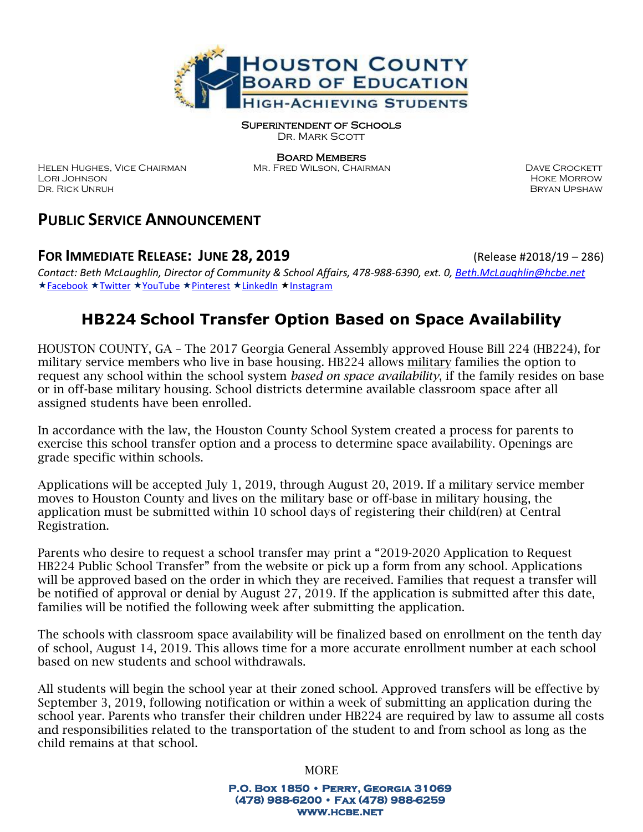

Superintendent of Schools

DR. MARK SCOTT

Board Members

HELEN HUGHES, VICE CHAIRMAN MR. FRED WILSON, CHAIRMAN DAVE CROCKETT Lori Johnson Hoke Morrow Dr. Rick Unruh Dr. Rick Unruh Bryan Upshaw

# **PUBLIC SERVICE ANNOUNCEMENT**

### **FOR IMMEDIATE RELEASE: JUNE 28, 2019** (Release #2018/19 – 286)

*Contact: Beth McLaughlin, Director of Community & School Affairs, 478-988-6390, ext. 0[, Beth.McLaughlin@hcbe.net](mailto:Beth.McLaughlin@hcbe.net)* ★[Facebook](http://www.facebook.com/HoustonCountySS) ★[Twitter](http://www.twitter.com/HoustonCountySS) ★[YouTube](http://www.youtube.com/playlist?list=PL6lPoWo6vdnm1fJX41WxTVWbp1uHUxP1a) ★[Pinterest](https://www.pinterest.com/houstoncountyss/) ★[LinkedIn](https://www.linkedin.com/company/houston-county-board-of-education) ★[Instagram](http://www.instagram.com/HoustonCountySS)

# **HB224 School Transfer Option Based on Space Availability**

HOUSTON COUNTY, GA – The 2017 Georgia General Assembly approved House Bill 224 (HB224), for military service members who live in base housing. HB224 allows military families the option to request any school within the school system *based on space availability*, if the family resides on base or in off-base military housing. School districts determine available classroom space after all assigned students have been enrolled.

In accordance with the law, the Houston County School System created a process for parents to exercise this school transfer option and a process to determine space availability. Openings are grade specific within schools.

Applications will be accepted July 1, 2019, through August 20, 2019. If a military service member moves to Houston County and lives on the military base or off-base in military housing, the application must be submitted within 10 school days of registering their child(ren) at Central Registration.

Parents who desire to request a school transfer may print a "2019-2020 Application to Request HB224 Public School Transfer" from the website or pick up a form from any school. Applications will be approved based on the order in which they are received. Families that request a transfer will be notified of approval or denial by August 27, 2019. If the application is submitted after this date, families will be notified the following week after submitting the application.

The schools with classroom space availability will be finalized based on enrollment on the tenth day of school, August 14, 2019. This allows time for a more accurate enrollment number at each school based on new students and school withdrawals.

All students will begin the school year at their zoned school. Approved transfers will be effective by September 3, 2019, following notification or within a week of submitting an application during the school year. Parents who transfer their children under HB224 are required by law to assume all costs and responsibilities related to the transportation of the student to and from school as long as the child remains at that school.

MORE

**P.O. Box 1850 • Perry, Georgia 31069 (478) 988-6200 • Fax (478) 988-6259 www.hcbe.net**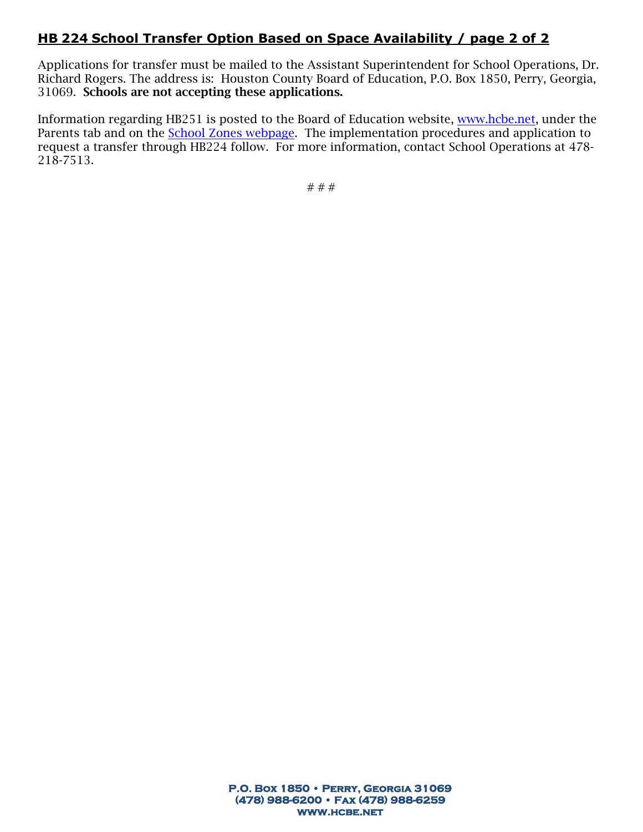### **HB 224 School Transfer Option Based on Space Availability / page 2 of 2**

Applications for transfer must be mailed to the Assistant Superintendent for School Operations, Dr. Richard Rogers. The address is: Houston County Board of Education, P.O. Box 1850, Perry, Georgia, 31069. Schools are not accepting these applications.

Information regarding HB251 is posted to the Board of Education website, [www.hcbe.net,](http://www.hcbe.net/) under the Parents tab and on the [School Zones webpage.](http://houstoncs.schoolinsites.com/?L=2&PN=MainPage&DivisionID=14875&DepartmentID=16986&SubDepartmentID=&TabNo=2) The implementation procedures and application to request a transfer through HB224 follow. For more information, contact School Operations at 478- 218-7513.

# # #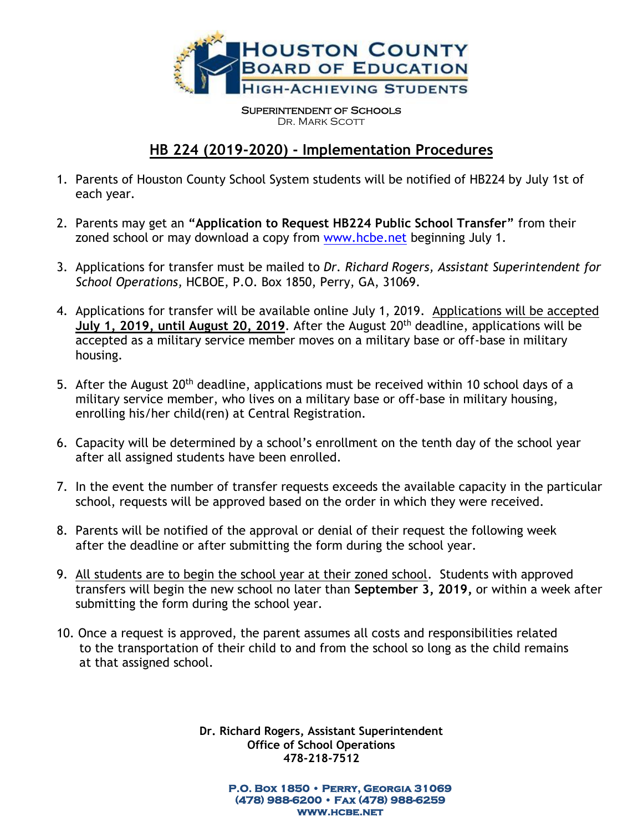

Superintendent of Schools DR. MARK SCOTT

## **HB 224 (2019-2020) - Implementation Procedures**

- 1. Parents of Houston County School System students will be notified of HB224 by July 1st of each year.
- 2. Parents may get an **"Application to Request HB224 Public School Transfer"** from their zoned school or may download a copy from [www.hcbe.net](http://www.hcbe.net/) beginning July 1.
- 3. Applications for transfer must be mailed to *Dr. Richard Rogers, Assistant Superintendent for School Operations,* HCBOE, P.O. Box 1850, Perry, GA, 31069.
- 4. Applications for transfer will be available online July 1, 2019. Applications will be accepted **July 1, 2019, until August 20, 2019**. After the August 20th deadline, applications will be accepted as a military service member moves on a military base or off-base in military housing.
- 5. After the August 20<sup>th</sup> deadline, applications must be received within 10 school days of a military service member, who lives on a military base or off-base in military housing, enrolling his/her child(ren) at Central Registration.
- 6. Capacity will be determined by a school's enrollment on the tenth day of the school year after all assigned students have been enrolled.
- 7. In the event the number of transfer requests exceeds the available capacity in the particular school, requests will be approved based on the order in which they were received.
- 8. Parents will be notified of the approval or denial of their request the following week after the deadline or after submitting the form during the school year.
- 9. All students are to begin the school year at their zoned school. Students with approved transfers will begin the new school no later than **September 3, 2019,** or within a week after submitting the form during the school year.
- 10. Once a request is approved, the parent assumes all costs and responsibilities related to the transportation of their child to and from the school so long as the child remains at that assigned school.

**Dr. Richard Rogers, Assistant Superintendent Office of School Operations 478-218-7512**

> **P.O. Box 1850 • Perry, Georgia 31069 (478) 988-6200 • Fax (478) 988-6259 www.hcbe.net**